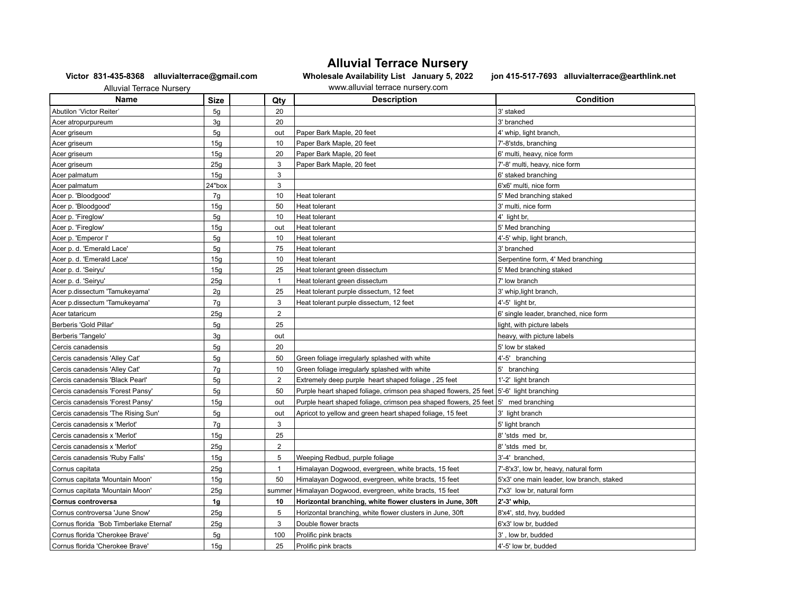## **Alluvial Terrace Nursery**

**Victor 831-435-8368 alluvialterrace@gmail.com Wholesale Availability List January 5, 2022 jon 415-517-7693 alluvialterrace@earthlink.net** 

 Alluvial Terrace Nursery www.alluvial terrace nursery.com **Name Size Given Size**  $\vert$  **Qty Description Condition** Abutilon 'Victor Reiter' **120 3' staked** 3' staked Acer atropurpureum and the set of the set of a set of a set of a set of a set of a set of a set of a set of a set of a set of a set of a set of a set of a set of a set of a set of a set of a set of a set of a set of a set Acer griseum 1. The settlement of the settlement of the settlement of the settlement of the settlement of the set of the settlement of the settlement of the settlement of the settlement of the settlement of the settlement Acer griseum 15g 15g 15g 10 Paper Bark Maple, 20 feet 7'-8'stds, branching Acer griseum 15g 20 Paper Bark Maple, 20 feet 6th and the form of the form of the form of the form of the form Acer griseum 25g 3 Paper Bark Maple, 20 feet 7'-8' multi, heavy, nice form Acer palmatum 15g 3 6' staked branching  $\begin{vmatrix} 24 \text{''box} \end{vmatrix}$   $\begin{vmatrix} 3 \end{vmatrix}$   $\begin{vmatrix} 3 \end{vmatrix}$   $\begin{vmatrix} 2 \end{vmatrix}$   $\begin{vmatrix} 3 \end{vmatrix}$   $\begin{vmatrix} 3 \end{vmatrix}$   $\begin{vmatrix} 3 \end{vmatrix}$   $\begin{vmatrix} 3 \end{vmatrix}$   $\begin{vmatrix} 3 \end{vmatrix}$   $\begin{vmatrix} 3 \end{vmatrix}$   $\begin{vmatrix} 3 \end{vmatrix}$   $\begin{vmatrix} 3 \end{vmatrix}$   $\begin{vmatrix} 3 \$ Acer p. 'Bloodgood' The Stated Transformation of the state of the Heat tolerant State of Stated Stated Stated Acer p. 'Bloodgood' | 15g | | 50 |Heat tolerant |3' multi, nice form Acer p. 'Fireglow' | 5g | | 10 |Heat tolerant |4' light br, Acer p. 'Fireglow' **15g out Heat tolerant 15g out Heat tolerant** 15g out 1 Media branching Acer p. 'Emperor I' The South Love of the South Separation of the Heat tolerant the state of the state of the state of the state of the state of the state of the state of the state of the state of the state of the state of Acer p. d. 'Emerald Lace' 5g 75 Heat tolerant 3' branched Acer p. d. 'Emerald Lace' 15g | 15g | 10 Heat tolerant Serpentine Serpentine form, 4' Med branching Acer p. d. 'Seiryu' 15g | 15g | 25 Heat tolerant green dissectum 5' Med branching staked Acer p. d. 'Seiryu' 25g 25g 1 Heat tolerant green dissectum 7' low branch 7' low branch Acer p.dissectum 'Tamukeyama' 2g 2g 25 Heat tolerant purple dissectum, 12 feet 3' whip,light branch, Acer p.dissectum 'Tamukeyama' 7g 7g 3 Heat tolerant purple dissectum, 12 feet 4'-5' light br, Acer tataricum 25g 25g 25g 25g 2 6' single leader, branched, nice form Berberis 'Gold Pillar' **1988 State Labels** 5g 25 light, with picture labels and the state of the state of the state of the state of the state of the state of the state of the state of the state of the state of the state Berberis 'Tangelo' 3g out heavy, with picture labels Cercis canadensis | 5g | | 20 | |5' low br staked Cercis canadensis 'Alley Cat' | 5g | 50 Green foliage irregularly splashed with white 4'-5' branching Cercis canadensis 'Alley Cat' 10 7g 10 Green foliage irregularly splashed with white 5' branching Cercis canadensis 'Black Pearl' 5g | 5g | Extremely deep purple heart shaped foliage , 25 feet | 1'-2' light branch Cercis canadensis 'Forest Pansy' 50 | 50 | 50 | Purple heart shaped foliage, crimson pea shaped flowers, 25 feet | 5'-6' light branching Cercis canadensis 'Forest Pansy' 15g out Purple heart shaped foliage, crimson pea shaped flowers, 25 feet 5' med branching Cercis canadensis 'The Rising Sun' 5g | 5g | out | Apricot to yellow and green heart shaped foliage, 15 feet 3' light branch Cercis canadensis x 'Merlot' **7g** 7g 3 3 5' light branch Cercis canadensis x 'Merlot' 15g 25 8' 'stds med br, Cercis canadensis x 'Merlot' 25g 2 8' 'stds med br, Cercis canadensis 'Ruby Falls' | 15g | 15g | 5 | Weeping Redbud, purple foliage | 3'-4' branched, Cornus capitata 25g 1 Himalayan Dogwood, evergreen, white bracts, 15 feet 7'-8'x3', low br, heavy, natural form Cornus capitata 'Mountain Moon' | 15g | 15g | 50 | Himalayan Dogwood, evergreen, white bracts, 15 feet | 5'x3' one main leader, low branch, staked Cornus capitata 'Mountain Moon' 25g | summer Himalayan Dogwood, evergreen, white bracts, 15 feet | 7'x3' low br, natural form **Cornus controversa 1g 10 Horizontal branching, white flower clusters in June, 30ft 2'-3' whip,** Cornus controversa 'June Snow' 25g | 25g | 5 Horizontal branching, white flower clusters in June, 30ft 8'x4', std, hvy, budded Cornus florida 'Bob Timberlake Eternal' 25g 3 3 Double flower bracts 3 Double flower bracts 5'x3' low br, budded

Cornus florida 'Cherokee Brave' 100 | 5g | 100 | Prolific pink bracts | 3' , low br, budded Cornus florida 'Cherokee Brave' | 15g | 15g | 25 Prolific pink bracts | 4'-5' low br, budded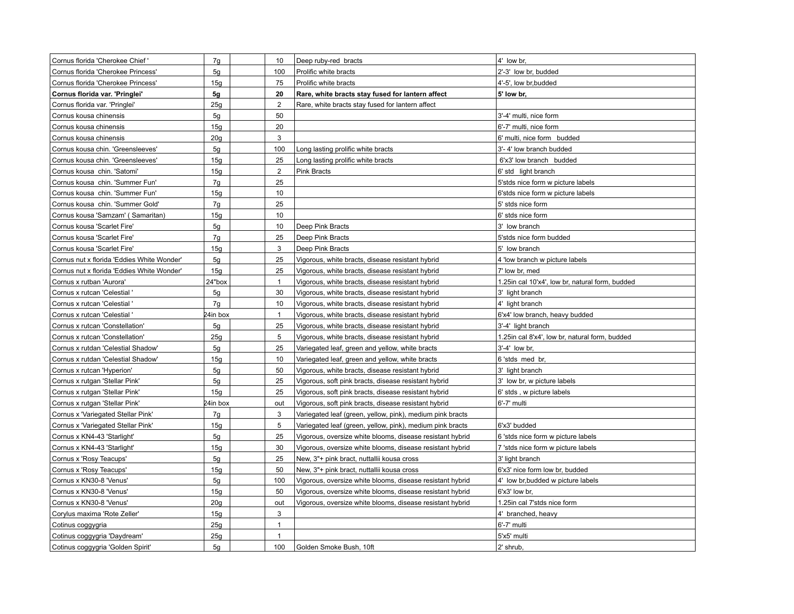| Cornus florida 'Cherokee Chief'            | 7g              | 10             | Deep ruby-red bracts                                      | 4' low br,                                       |
|--------------------------------------------|-----------------|----------------|-----------------------------------------------------------|--------------------------------------------------|
| Cornus florida 'Cherokee Princess'         | 5g              | 100            | Prolific white bracts                                     | 2'-3' low br, budded                             |
| Cornus florida 'Cherokee Princess'         | 15g             | 75             | Prolific white bracts                                     | 4'-5', low br, budded                            |
| Cornus florida var. 'Pringlei'             | 5g              | 20             | Rare, white bracts stay fused for lantern affect          | 5' low br,                                       |
| Cornus florida var. 'Pringlei'             | 25g             | $\overline{2}$ | Rare, white bracts stay fused for lantern affect          |                                                  |
| Cornus kousa chinensis                     | 5g              | 50             |                                                           | 3'-4' multi, nice form                           |
| Cornus kousa chinensis                     | 15q             | 20             |                                                           | 6'-7' multi, nice form                           |
| Cornus kousa chinensis                     | 20 <sub>g</sub> | $\mathsf 3$    |                                                           | 6' multi, nice form budded                       |
| Cornus kousa chin. 'Greensleeves'          | 5g              | 100            | Long lasting prolific white bracts                        | 3'- 4' low branch budded                         |
| Cornus kousa chin. 'Greensleeves'          | 15g             | 25             | Long lasting prolific white bracts                        | 6'x3' low branch budded                          |
| Cornus kousa chin. 'Satomi'                | 15g             | $\overline{2}$ | <b>Pink Bracts</b>                                        | 6' std light branch                              |
| Cornus kousa chin. 'Summer Fun'            | 7g              | 25             |                                                           | 5'stds nice form w picture labels                |
| Cornus kousa chin. 'Summer Fun'            | 15g             | 10             |                                                           | 6'stds nice form w picture labels                |
| Cornus kousa chin. 'Summer Gold'           | 7g              | 25             |                                                           | 5' stds nice form                                |
| Cornus kousa 'Samzam' (Samaritan)          | 15g             | 10             |                                                           | 6' stds nice form                                |
| Cornus kousa 'Scarlet Fire'                | 5g              | 10             | Deep Pink Bracts                                          | 3' low branch                                    |
| Cornus kousa 'Scarlet Fire'                | 7g              | 25             | Deep Pink Bracts                                          | 5'stds nice form budded                          |
| Cornus kousa 'Scarlet Fire'                | 15g             | 3              | Deep Pink Bracts                                          | 5' low branch                                    |
| Cornus nut x florida 'Eddies White Wonder' | 5g              | 25             | Vigorous, white bracts, disease resistant hybrid          | 4 'low branch w picture labels                   |
| Cornus nut x florida 'Eddies White Wonder' | 15g             | 25             | Vigorous, white bracts, disease resistant hybrid          | 7' low br, med                                   |
| Cornus x rutban 'Aurora'                   | 24"box          | $\mathbf{1}$   | Vigorous, white bracts, disease resistant hybrid          | 1.25 in cal 10'x4', low br, natural form, budded |
| Cornus x rutcan 'Celestial'                | 5g              | 30             | Vigorous, white bracts, disease resistant hybrid          | 3' light branch                                  |
| Cornus x rutcan 'Celestial '               | 7g              | 10             | Vigorous, white bracts, disease resistant hybrid          | 4' light branch                                  |
| Cornus x rutcan 'Celestial '               | 24in box        | $\mathbf{1}$   | Vigorous, white bracts, disease resistant hybrid          | 6'x4' low branch, heavy budded                   |
| Cornus x rutcan 'Constellation'            | 5g              | 25             | Vigorous, white bracts, disease resistant hybrid          | 3'-4' light branch                               |
| Cornus x rutcan 'Constellation'            | 25g             | 5              | Vigorous, white bracts, disease resistant hybrid          | 1.25in cal 8'x4', low br, natural form, budded   |
| Cornus x rutdan 'Celestial Shadow'         | 5g              | 25             | Variegated leaf, green and yellow, white bracts           | 3'-4' low br,                                    |
| Cornus x rutdan 'Celestial Shadow'         | 15g             | 10             | Variegated leaf, green and yellow, white bracts           | 6 'stds med br,                                  |
| Cornus x rutcan 'Hyperion'                 | 5g              | 50             | Vigorous, white bracts, disease resistant hybrid          | 3' light branch                                  |
| Cornus x rutgan 'Stellar Pink'             | 5g              | 25             | Vigorous, soft pink bracts, disease resistant hybrid      | 3' low br, w picture labels                      |
| Cornus x rutgan 'Stellar Pink'             | 15g             | 25             | Vigorous, soft pink bracts, disease resistant hybrid      | 6' stds, w picture labels                        |
| Cornus x rutgan 'Stellar Pink'             | 24in box        | out            | Vigorous, soft pink bracts, disease resistant hybrid      | 6'-7' multi                                      |
| Cornus x 'Variegated Stellar Pink'         | 7g              | 3              | Variegated leaf (green, yellow, pink), medium pink bracts |                                                  |
| Cornus x 'Variegated Stellar Pink'         | 15g             | 5              | Variegated leaf (green, yellow, pink), medium pink bracts | 6'x3' budded                                     |
| Cornus x KN4-43 'Starlight'                | 5g              | 25             | Vigorous, oversize white blooms, disease resistant hybrid | 6 'stds nice form w picture labels               |
| Cornus x KN4-43 'Starlight'                | 15g             | 30             | Vigorous, oversize white blooms, disease resistant hybrid | 7 'stds nice form w picture labels               |
| Cornus x 'Rosy Teacups'                    | 5g              | 25             | New, 3"+ pink bract, nuttallii kousa cross                | 3' light branch                                  |
| Cornus x 'Rosy Teacups'                    | 15g             | 50             | New, 3"+ pink bract, nuttallii kousa cross                | 6'x3' nice form low br, budded                   |
| Cornus x KN30-8 'Venus'                    | 5g              | 100            | Vigorous, oversize white blooms, disease resistant hybrid | 4' low br, budded w picture labels               |
| Cornus x KN30-8 'Venus'                    | 15g             | 50             | Vigorous, oversize white blooms, disease resistant hybrid | 6'x3' low br,                                    |
| Cornus x KN30-8 'Venus'                    | 20g             | out            | Vigorous, oversize white blooms, disease resistant hybrid | 1.25in cal 7'stds nice form                      |
| Corylus maxima 'Rote Zeller'               | 15g             | 3              |                                                           | 4' branched, heavy                               |
| Cotinus coggygria                          | 25g             | $\mathbf{1}$   |                                                           | 6'-7' multi                                      |
| Cotinus coggygria 'Daydream'               | 25g             | $\mathbf{1}$   |                                                           | 5'x5' multi                                      |
| Cotinus coggygria 'Golden Spirit'          | 5g              | 100            | Golden Smoke Bush, 10ft                                   | 2' shrub,                                        |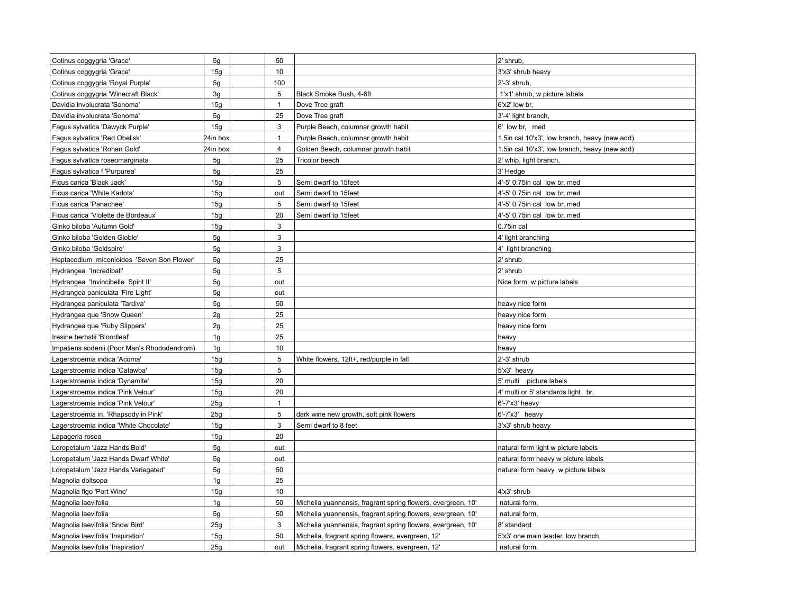| Cotinus coggygria 'Grace'                   | 5g             | 50             |                                                              | 2' shrub,                                     |
|---------------------------------------------|----------------|----------------|--------------------------------------------------------------|-----------------------------------------------|
| Cotinus coggygria 'Grace'                   | 15g            | 10             |                                                              | 3'x3' shrub heavy                             |
| Cotinus coggygria 'Royal Purple'            | 5g             | 100            |                                                              | 2'-3' shrub,                                  |
| Cotinus coggygria 'Winecraft Black'         | 3g             | 5              | Black Smoke Bush, 4-6ft                                      | 1'x1' shrub, w picture labels                 |
| Davidia involucrata 'Sonoma'                | 15g            | $\mathbf{1}$   | Dove Tree graft                                              | 6'x2' low br,                                 |
| Davidia involucrata 'Sonoma'                | 5g             | 25             | Dove Tree graft                                              | 3'-4' light branch,                           |
| Fagus sylvatica 'Dawyck Purple'             | 15g            | 3              | Purple Beech, columnar growth habit                          | 6' low br, med                                |
| Fagus sylvatica 'Red Obelisk'               | 24in box       | $\mathbf{1}$   | Purple Beech, columnar growth habit                          | 1.5in cal 10'x3', low branch, heavy (new add) |
| Fagus sylvatica 'Rohan Gold'                | 24in box       | $\overline{4}$ | Golden Beech, columnar growth habit                          | 1.5in cal 10'x3', low branch, heavy (new add) |
| Fagus sylvatica roseomarginata              | 5 <sub>q</sub> | 25             | <b>Tricolor beech</b>                                        | 2' whip, light branch,                        |
| Fagus sylvatica f 'Purpurea'                | 5g             | 25             |                                                              | 3' Hedge                                      |
| Ficus carica 'Black Jack'                   | 15g            | 5              | Semi dwarf to 15feet                                         | 4'-5' 0.75in cal low br, med                  |
| Ficus carica 'White Kadota'                 | 15g            | out            | Semi dwarf to 15feet                                         | 4'-5' 0.75in cal low br, med                  |
| Ficus carica 'Panachee'                     | 15g            | 5              | Semi dwarf to 15feet                                         | 4'-5' 0.75in cal low br, med                  |
| Ficus carica 'Violette de Bordeaux'         | 15g            | 20             | Semi dwarf to 15feet                                         | 4'-5' 0.75in cal low br. med                  |
| Ginko biloba 'Autumn Gold'                  | 15g            | 3              |                                                              | 0.75in cal                                    |
| Ginko biloba 'Golden Globle'                | 5g             | 3              |                                                              | 4' light branching                            |
| Ginko biloba 'Goldspire'                    | 5g             | 3              |                                                              | 4' light branching                            |
| Heptacodium miconioides 'Seven Son Flower'  | 5g             | 25             |                                                              | 2' shrub                                      |
| Hydrangea 'Incrediball'                     | 5g             | 5              |                                                              | 2' shrub                                      |
| Hydrangea 'Invincibelle Spirit II'          | 5g             | out            |                                                              | Nice form w picture labels                    |
| Hydrangea paniculata 'Fire Light'           | 5g             | out            |                                                              |                                               |
| Hydrangea paniculata 'Tardiva'              | 5g             | 50             |                                                              | heavy nice form                               |
| Hydrangea que 'Snow Queen'                  | 2g             | 25             |                                                              | heavy nice form                               |
| Hydrangea que 'Ruby Slippers'               | 2g             | 25             |                                                              | heavy nice form                               |
| Iresine herbstii 'Bloodleaf'                | 1g             | 25             |                                                              | heavy                                         |
| Impatiens sodenii (Poor Man's Rhododendrom) | 1 <sub>g</sub> | 10             |                                                              | heavy                                         |
| Lagerstroemia indica 'Acoma'                | 15g            | 5              | White flowers, 12ft+, red/purple in fall                     | 2'-3' shrub                                   |
| Lagerstroemia indica 'Catawba'              | 15g            | 5              |                                                              | 5'x3' heavy                                   |
| Lagerstroemia indica 'Dynamite'             | 15g            | 20             |                                                              | 5' multi picture labels                       |
| Lagerstroemia indica 'Pink Velour'          | 15g            | 20             |                                                              | 4' multi or 5' standards light br,            |
| Lagerstroemia indica 'Pink Velour'          | 25q            | $\mathbf{1}$   |                                                              | 6'-7'x3' heavy                                |
| Lagerstroemia in. 'Rhapsody in Pink'        | 25g            | 5              | dark wine new growth, soft pink flowers                      | 6'-7'x3' heavy                                |
| Lagerstroemia indica 'White Chocolate'      | 15g            | 3              | Semi dwarf to 8 feet                                         | 3'x3' shrub heavy                             |
| Lapageria rosea                             | 15q            | 20             |                                                              |                                               |
| Loropetalum 'Jazz Hands Bold'               | 5g             | out            |                                                              | natural form light w picture labels           |
| Loropetalum 'Jazz Hands Dwarf White'        | 5g             | out            |                                                              | natural form heavy w picture labels           |
| Loropetalum 'Jazz Hands Variegated'         | 5g             | 50             |                                                              | natural form heavy w picture labels           |
| Magnolia doltsopa                           | 1g             | 25             |                                                              |                                               |
| Magnolia figo 'Port Wine'                   | 15g            | 10             |                                                              | 4'x3' shrub                                   |
| Magnolia laevifolia                         | 1 <sub>g</sub> | 50             | Michelia yuannensis, fragrant spring flowers, evergreen, 10' | natural form,                                 |
| Magnolia laevifolia                         | 5g             | 50             | Michelia yuannensis, fragrant spring flowers, evergreen, 10' | natural form,                                 |
| Magnolia laevifolia 'Snow Bird'             | 25g            | 3              | Michelia yuannensis, fragrant spring flowers, evergreen, 10' | 8' standard                                   |
| Magnolia laevifolia 'Inspiration'           | 15g            | 50             | Michelia, fragrant spring flowers, evergreen, 12'            | 5'x3' one main leader, low branch,            |
| Magnolia laevifolia 'Inspiration'           | 25g            | out            | Michelia, fragrant spring flowers, evergreen, 12'            | natural form.                                 |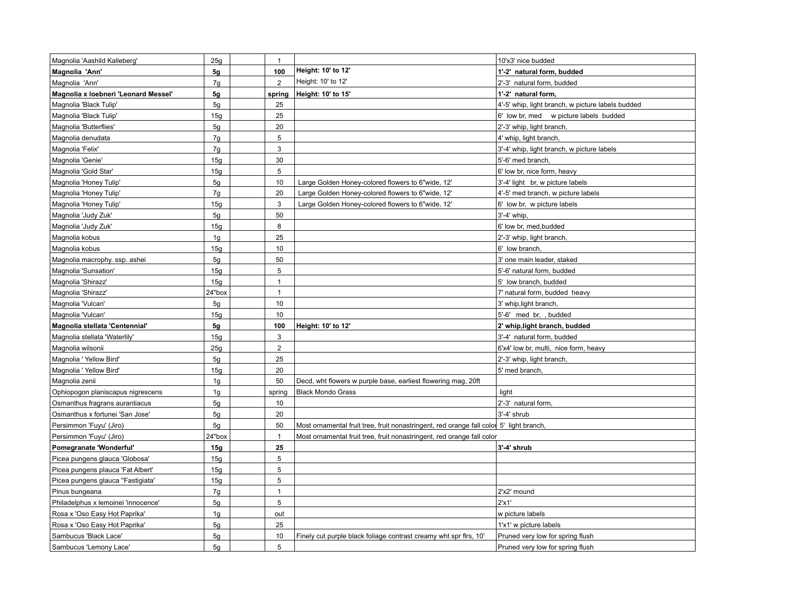| Magnolia 'Aashild Kalleberg'         | 25g            | $\overline{1}$ |                                                                                         | 10'x3' nice budded                                |
|--------------------------------------|----------------|----------------|-----------------------------------------------------------------------------------------|---------------------------------------------------|
| Magnolia 'Ann'                       | 5g             | 100            | Height: 10' to 12'                                                                      | 1'-2' natural form, budded                        |
| Magnolia 'Ann'                       | 7g             | 2              | Height: 10' to 12'                                                                      | 2'-3' natural form, budded                        |
| Magnolia x loebneri 'Leonard Messel' | 5g             | spring         | Height: 10' to 15'                                                                      | 1'-2' natural form,                               |
| Magnolia 'Black Tulip'               | 5g             | 25             |                                                                                         | 4'-5' whip, light branch, w picture labels budded |
| Magnolia 'Black Tulip'               | 15g            | 25             |                                                                                         | 6' low br, med w picture labels budded            |
| Magnolia 'Butterflies'               | 5g             | 20             |                                                                                         | 2'-3' whip, light branch,                         |
| Magnolia denudata                    | 7g             | $\,$ 5 $\,$    |                                                                                         | 4' whip, light branch,                            |
| Magnolia 'Felix'                     | 7g             | 3              |                                                                                         | 3'-4' whip, light branch, w picture labels        |
| Magnolia 'Genie'                     | 15g            | 30             |                                                                                         | 5'-6' med branch,                                 |
| Magnolia 'Gold Star'                 | 15g            | 5              |                                                                                         | 6' low br, nice form, heavy                       |
| Magnolia 'Honey Tulip'               | 5g             | 10             | Large Golden Honey-colored flowers to 6"wide, 12"                                       | 3'-4' light br, w picture labels                  |
| Magnolia 'Honey Tulip'               | 7g             | 20             | Large Golden Honey-colored flowers to 6"wide, 12"                                       | 4'-5' med branch, w picture labels                |
| Magnolia 'Honey Tulip'               | 15g            | 3              | Large Golden Honey-colored flowers to 6"wide, 12"                                       | 6' low br, w picture labels                       |
| Magnolia 'Judy Zuk'                  | 5g             | 50             |                                                                                         | 3'-4' whip.                                       |
| Magnolia 'Judy Zuk'                  | 15g            | 8              |                                                                                         | 6' low br, med, budded                            |
| Magnolia kobus                       | 1g             | 25             |                                                                                         | 2'-3' whip, light branch,                         |
| Magnolia kobus                       | 15g            | 10             |                                                                                         | 6' low branch.                                    |
| Magnolia macrophy. ssp. ashei        | 5g             | 50             |                                                                                         | 3' one main leader, staked                        |
| Magnolia 'Sunsation'                 | 15g            | 5              |                                                                                         | 5'-6' natural form, budded                        |
| Magnolia 'Shirazz'                   | 15g            | $\overline{1}$ |                                                                                         | 5' low branch, budded                             |
| Magnolia 'Shirazz'                   | 24"box         | $\overline{1}$ |                                                                                         | 7' natural form, budded heavy                     |
| Magnolia 'Vulcan'                    | 5g             | 10             |                                                                                         | 3' whip, light branch,                            |
| Magnolia 'Vulcan'                    | 15g            | 10             |                                                                                         | 5'-6' med br, , budded                            |
| Magnolia stellata 'Centennial'       | 5g             | 100            | Height: 10' to 12'                                                                      | 2' whip, light branch, budded                     |
| Magnolia stellata 'Waterlily'        | 15g            | 3              |                                                                                         | 3'-4' natural form, budded                        |
| Magnolia wilsonii                    | 25g            | $\overline{2}$ |                                                                                         | 6'x4' low br, multi, nice form, heavy             |
| Magnolia ' Yellow Bird'              | 5g             | 25             |                                                                                         | 2'-3' whip, light branch,                         |
| Magnolia ' Yellow Bird'              | 15g            | 20             |                                                                                         | 5' med branch,                                    |
| Magnolia zenii                       | 1 <sub>g</sub> | 50             | Decd, wht flowers w purple base, earliest flowering mag, 20ft                           |                                                   |
| Ophiopogon planiscapus nigrescens    | 1g             | spring         | <b>Black Mondo Grass</b>                                                                | light                                             |
| Osmanthus fragrans aurantiacus       | 5 <sub>q</sub> | 10             |                                                                                         | 2'-3' natural form,                               |
| Osmanthus x fortunei 'San Jose'      | 5g             | 20             |                                                                                         | 3'-4' shrub                                       |
| Persimmon 'Fuyu' (Jiro)              | 5g             | 50             | Most ornamental fruit tree, fruit nonastringent, red orange fall color 5' light branch, |                                                   |
| Persimmon 'Fuyu' (Jiro)              | 24"box         | $\overline{1}$ | Most ornamental fruit tree, fruit nonastringent, red orange fall color                  |                                                   |
| Pomegranate 'Wonderful'              | 15g            | 25             |                                                                                         | 3'-4' shrub                                       |
| Picea pungens glauca 'Globosa'       | 15g            | 5              |                                                                                         |                                                   |
| Picea pungens plauca 'Fat Albert'    | 15g            | 5              |                                                                                         |                                                   |
| Picea pungens glauca "Fastigiata"    | 15g            | 5              |                                                                                         |                                                   |
| Pinus bungeana                       | 7g             | $\overline{1}$ |                                                                                         | 2'x2' mound                                       |
| Philadelphus x lemoinei 'innocence'  | 5g             | $\sqrt{5}$     |                                                                                         | 2'x1'                                             |
| Rosa x 'Oso Easy Hot Paprika'        | 1 <sub>g</sub> | out            |                                                                                         | w picture labels                                  |
| Rosa x 'Oso Easy Hot Paprika'        | 5g             | 25             |                                                                                         | 1'x1' w picture labels                            |
| Sambucus 'Black Lace'                | 5g             | 10             | Finely cut purple black foliage contrast creamy wht spr firs, 10'                       | Pruned very low for spring flush                  |
| Sambucus 'Lemony Lace'               | 5g             | 5              |                                                                                         | Pruned very low for spring flush                  |